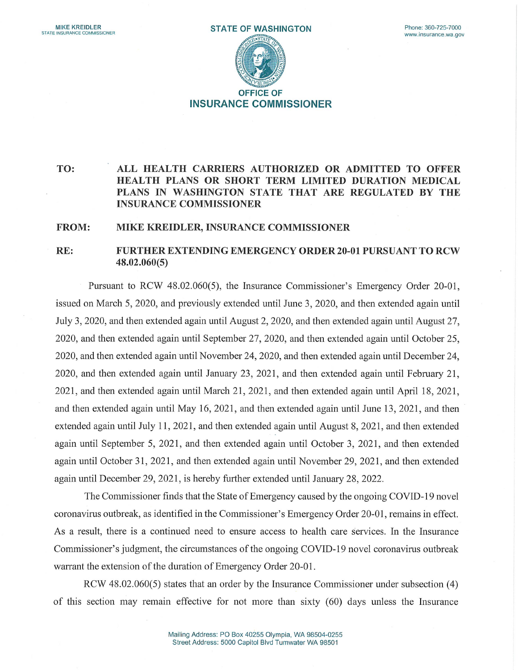

## TO: ALL HEALTH CARRIERS AUTHORIZED OR ADMITTED TO OFFER HEALTH PLANS OR SHORT TERM LIMITED DURATION MEDICAL PLANS IN WASHINGTON STATE THAT ARE REGULATED BY THE INSURANCE COMMISSIONER

## FROM: MIKE KREIDLER, INSURANCE COMMISSIONER

## RE: FURTHEREXTENDINGEMERGENCY ORDER20-01 PURSUANT TO RCW 48.02.060(5)

Pursuant to RCW 48.02.060(5), the Insurance Commissioner's Emergency Order 20-01, issued on March 5, 2020, and previously extended until June 3, 2020, and then extended again until July 3, 2020, and then extended again until August 2, 2020, and then extended again until August 27, 2020, and then extended again until September 27, 2020, and then extended again until October 25, 2020, and then extended again until November 24, 2020, and then extended again until December 24, 2020, and then extended again until January 23, 2021, and then extended again until February 21, 2021, and then extended again until March 21, 2021, and then extended again until April 18, 2021, and then extended again until May 16, 2021, and then extended again until June 13, 2021, and then extended again until July 11, 2021, and then extended again until August 8, 2021, and then extended again until September 5, 2021, and then extended again until October 3, 2021, and then extended again until October 31, 2021, and then extended again until November 29, 2021, and then extended again until December 29, 2021, is hereby further extended until January 28, 2022.

The Commissioner finds that the State of Emergency caused by the ongoing COVID-19 novel coronavirus outbreak, as identified in the Commissioner's Emergency Order 20-01, remains in effect. As a result, there is a continued need to ensure access to health care services. In the Insurance Commissioner's judgment, the circumstances of the ongoing COVID-19 novel coronavirus outbreak warrant the extension of the duration of Emergency Order 20-01.

RCW 48.02.060(5) states that an order by the Insurance Commissioner under subsection (4) of this section may remain effective for not more than sixty (60) days unless the Insurance